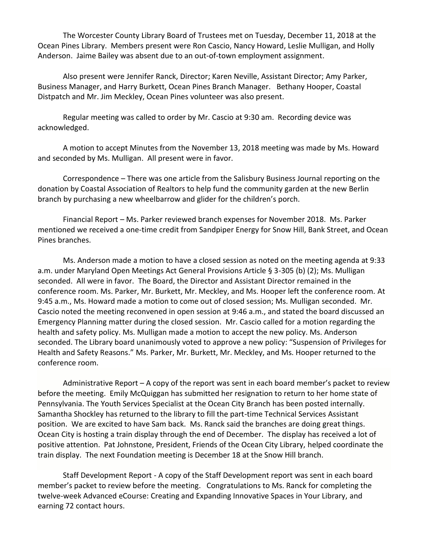The Worcester County Library Board of Trustees met on Tuesday, December 11, 2018 at the Ocean Pines Library. Members present were Ron Cascio, Nancy Howard, Leslie Mulligan, and Holly Anderson. Jaime Bailey was absent due to an out-of-town employment assignment.

Also present were Jennifer Ranck, Director; Karen Neville, Assistant Director; Amy Parker, Business Manager, and Harry Burkett, Ocean Pines Branch Manager. Bethany Hooper, Coastal Distpatch and Mr. Jim Meckley, Ocean Pines volunteer was also present.

Regular meeting was called to order by Mr. Cascio at 9:30 am. Recording device was acknowledged.

A motion to accept Minutes from the November 13, 2018 meeting was made by Ms. Howard and seconded by Ms. Mulligan. All present were in favor.

Correspondence – There was one article from the Salisbury Business Journal reporting on the donation by Coastal Association of Realtors to help fund the community garden at the new Berlin branch by purchasing a new wheelbarrow and glider for the children's porch.

Financial Report – Ms. Parker reviewed branch expenses for November 2018. Ms. Parker mentioned we received a one-time credit from Sandpiper Energy for Snow Hill, Bank Street, and Ocean Pines branches.

Ms. Anderson made a motion to have a closed session as noted on the meeting agenda at 9:33 a.m. under Maryland Open Meetings Act General Provisions Article § 3-305 (b) (2); Ms. Mulligan seconded. All were in favor. The Board, the Director and Assistant Director remained in the conference room. Ms. Parker, Mr. Burkett, Mr. Meckley, and Ms. Hooper left the conference room. At 9:45 a.m., Ms. Howard made a motion to come out of closed session; Ms. Mulligan seconded. Mr. Cascio noted the meeting reconvened in open session at 9:46 a.m., and stated the board discussed an Emergency Planning matter during the closed session. Mr. Cascio called for a motion regarding the health and safety policy. Ms. Mulligan made a motion to accept the new policy. Ms. Anderson seconded. The Library board unanimously voted to approve a new policy: "Suspension of Privileges for Health and Safety Reasons." Ms. Parker, Mr. Burkett, Mr. Meckley, and Ms. Hooper returned to the conference room.

Administrative Report – A copy of the report was sent in each board member's packet to review before the meeting. Emily McQuiggan has submitted her resignation to return to her home state of Pennsylvania. The Youth Services Specialist at the Ocean City Branch has been posted internally. Samantha Shockley has returned to the library to fill the part-time Technical Services Assistant position. We are excited to have Sam back. Ms. Ranck said the branches are doing great things. Ocean City is hosting a train display through the end of December. The display has received a lot of positive attention. Pat Johnstone, President, Friends of the Ocean City Library, helped coordinate the train display. The next Foundation meeting is December 18 at the Snow Hill branch.

Staff Development Report - A copy of the Staff Development report was sent in each board member's packet to review before the meeting. Congratulations to Ms. Ranck for completing the twelve-week Advanced eCourse: Creating and Expanding Innovative Spaces in Your Library, and earning 72 contact hours.